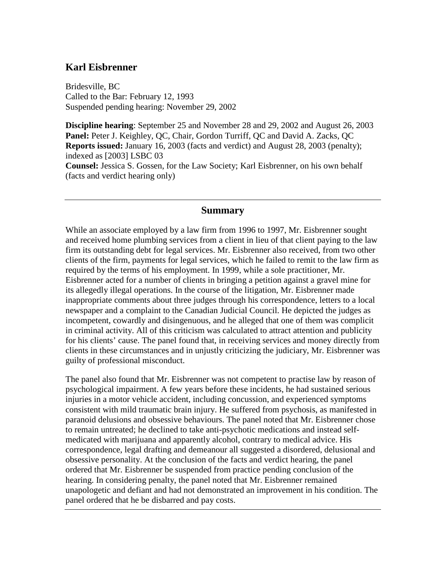### **Karl Eisbrenner**

Bridesville, BC Called to the Bar: February 12, 1993 Suspended pending hearing: November 29, 2002

**Discipline hearing**: September 25 and November 28 and 29, 2002 and August 26, 2003 Panel: Peter J. Keighley, QC, Chair, Gordon Turriff, QC and David A. Zacks, QC **Reports issued:** January 16, 2003 (facts and verdict) and August 28, 2003 (penalty); indexed as [2003] LSBC 03

**Counsel:** Jessica S. Gossen, for the Law Society; Karl Eisbrenner, on his own behalf (facts and verdict hearing only)

#### **Summary**

While an associate employed by a law firm from 1996 to 1997, Mr. Eisbrenner sought and received home plumbing services from a client in lieu of that client paying to the law firm its outstanding debt for legal services. Mr. Eisbrenner also received, from two other clients of the firm, payments for legal services, which he failed to remit to the law firm as required by the terms of his employment. In 1999, while a sole practitioner, Mr. Eisbrenner acted for a number of clients in bringing a petition against a gravel mine for its allegedly illegal operations. In the course of the litigation, Mr. Eisbrenner made inappropriate comments about three judges through his correspondence, letters to a local newspaper and a complaint to the Canadian Judicial Council. He depicted the judges as incompetent, cowardly and disingenuous, and he alleged that one of them was complicit in criminal activity. All of this criticism was calculated to attract attention and publicity for his clients' cause. The panel found that, in receiving services and money directly from clients in these circumstances and in unjustly criticizing the judiciary, Mr. Eisbrenner was guilty of professional misconduct.

The panel also found that Mr. Eisbrenner was not competent to practise law by reason of psychological impairment. A few years before these incidents, he had sustained serious injuries in a motor vehicle accident, including concussion, and experienced symptoms consistent with mild traumatic brain injury. He suffered from psychosis, as manifested in paranoid delusions and obsessive behaviours. The panel noted that Mr. Eisbrenner chose to remain untreated; he declined to take anti-psychotic medications and instead selfmedicated with marijuana and apparently alcohol, contrary to medical advice. His correspondence, legal drafting and demeanour all suggested a disordered, delusional and obsessive personality. At the conclusion of the facts and verdict hearing, the panel ordered that Mr. Eisbrenner be suspended from practice pending conclusion of the hearing. In considering penalty, the panel noted that Mr. Eisbrenner remained unapologetic and defiant and had not demonstrated an improvement in his condition. The panel ordered that he be disbarred and pay costs.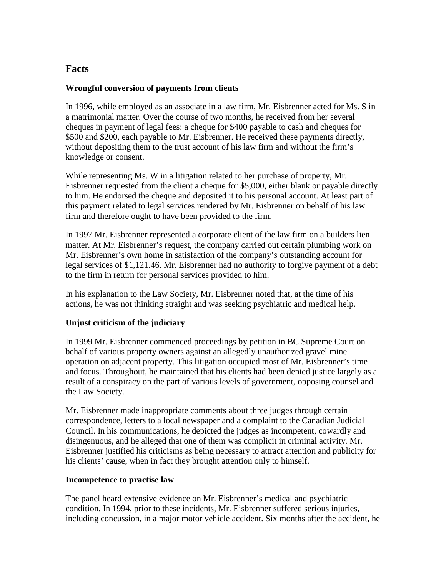## **Facts**

### **Wrongful conversion of payments from clients**

In 1996, while employed as an associate in a law firm, Mr. Eisbrenner acted for Ms. S in a matrimonial matter. Over the course of two months, he received from her several cheques in payment of legal fees: a cheque for \$400 payable to cash and cheques for \$500 and \$200, each payable to Mr. Eisbrenner. He received these payments directly, without depositing them to the trust account of his law firm and without the firm's knowledge or consent.

While representing Ms. W in a litigation related to her purchase of property, Mr. Eisbrenner requested from the client a cheque for \$5,000, either blank or payable directly to him. He endorsed the cheque and deposited it to his personal account. At least part of this payment related to legal services rendered by Mr. Eisbrenner on behalf of his law firm and therefore ought to have been provided to the firm.

In 1997 Mr. Eisbrenner represented a corporate client of the law firm on a builders lien matter. At Mr. Eisbrenner's request, the company carried out certain plumbing work on Mr. Eisbrenner's own home in satisfaction of the company's outstanding account for legal services of \$1,121.46. Mr. Eisbrenner had no authority to forgive payment of a debt to the firm in return for personal services provided to him.

In his explanation to the Law Society, Mr. Eisbrenner noted that, at the time of his actions, he was not thinking straight and was seeking psychiatric and medical help.

#### **Unjust criticism of the judiciary**

In 1999 Mr. Eisbrenner commenced proceedings by petition in BC Supreme Court on behalf of various property owners against an allegedly unauthorized gravel mine operation on adjacent property. This litigation occupied most of Mr. Eisbrenner's time and focus. Throughout, he maintained that his clients had been denied justice largely as a result of a conspiracy on the part of various levels of government, opposing counsel and the Law Society.

Mr. Eisbrenner made inappropriate comments about three judges through certain correspondence, letters to a local newspaper and a complaint to the Canadian Judicial Council. In his communications, he depicted the judges as incompetent, cowardly and disingenuous, and he alleged that one of them was complicit in criminal activity. Mr. Eisbrenner justified his criticisms as being necessary to attract attention and publicity for his clients' cause, when in fact they brought attention only to himself.

#### **Incompetence to practise law**

The panel heard extensive evidence on Mr. Eisbrenner's medical and psychiatric condition. In 1994, prior to these incidents, Mr. Eisbrenner suffered serious injuries, including concussion, in a major motor vehicle accident. Six months after the accident, he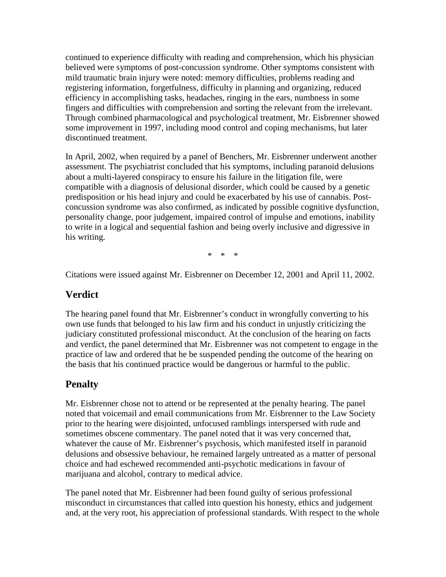continued to experience difficulty with reading and comprehension, which his physician believed were symptoms of post-concussion syndrome. Other symptoms consistent with mild traumatic brain injury were noted: memory difficulties, problems reading and registering information, forgetfulness, difficulty in planning and organizing, reduced efficiency in accomplishing tasks, headaches, ringing in the ears, numbness in some fingers and difficulties with comprehension and sorting the relevant from the irrelevant. Through combined pharmacological and psychological treatment, Mr. Eisbrenner showed some improvement in 1997, including mood control and coping mechanisms, but later discontinued treatment.

In April, 2002, when required by a panel of Benchers, Mr. Eisbrenner underwent another assessment. The psychiatrist concluded that his symptoms, including paranoid delusions about a multi-layered conspiracy to ensure his failure in the litigation file, were compatible with a diagnosis of delusional disorder, which could be caused by a genetic predisposition or his head injury and could be exacerbated by his use of cannabis. Postconcussion syndrome was also confirmed, as indicated by possible cognitive dysfunction, personality change, poor judgement, impaired control of impulse and emotions, inability to write in a logical and sequential fashion and being overly inclusive and digressive in his writing.

\* \* \*

Citations were issued against Mr. Eisbrenner on December 12, 2001 and April 11, 2002.

### **Verdict**

The hearing panel found that Mr. Eisbrenner's conduct in wrongfully converting to his own use funds that belonged to his law firm and his conduct in unjustly criticizing the judiciary constituted professional misconduct. At the conclusion of the hearing on facts and verdict, the panel determined that Mr. Eisbrenner was not competent to engage in the practice of law and ordered that he be suspended pending the outcome of the hearing on the basis that his continued practice would be dangerous or harmful to the public.

# **Penalty**

Mr. Eisbrenner chose not to attend or be represented at the penalty hearing. The panel noted that voicemail and email communications from Mr. Eisbrenner to the Law Society prior to the hearing were disjointed, unfocused ramblings interspersed with rude and sometimes obscene commentary. The panel noted that it was very concerned that, whatever the cause of Mr. Eisbrenner's psychosis, which manifested itself in paranoid delusions and obsessive behaviour, he remained largely untreated as a matter of personal choice and had eschewed recommended anti-psychotic medications in favour of marijuana and alcohol, contrary to medical advice.

The panel noted that Mr. Eisbrenner had been found guilty of serious professional misconduct in circumstances that called into question his honesty, ethics and judgement and, at the very root, his appreciation of professional standards. With respect to the whole